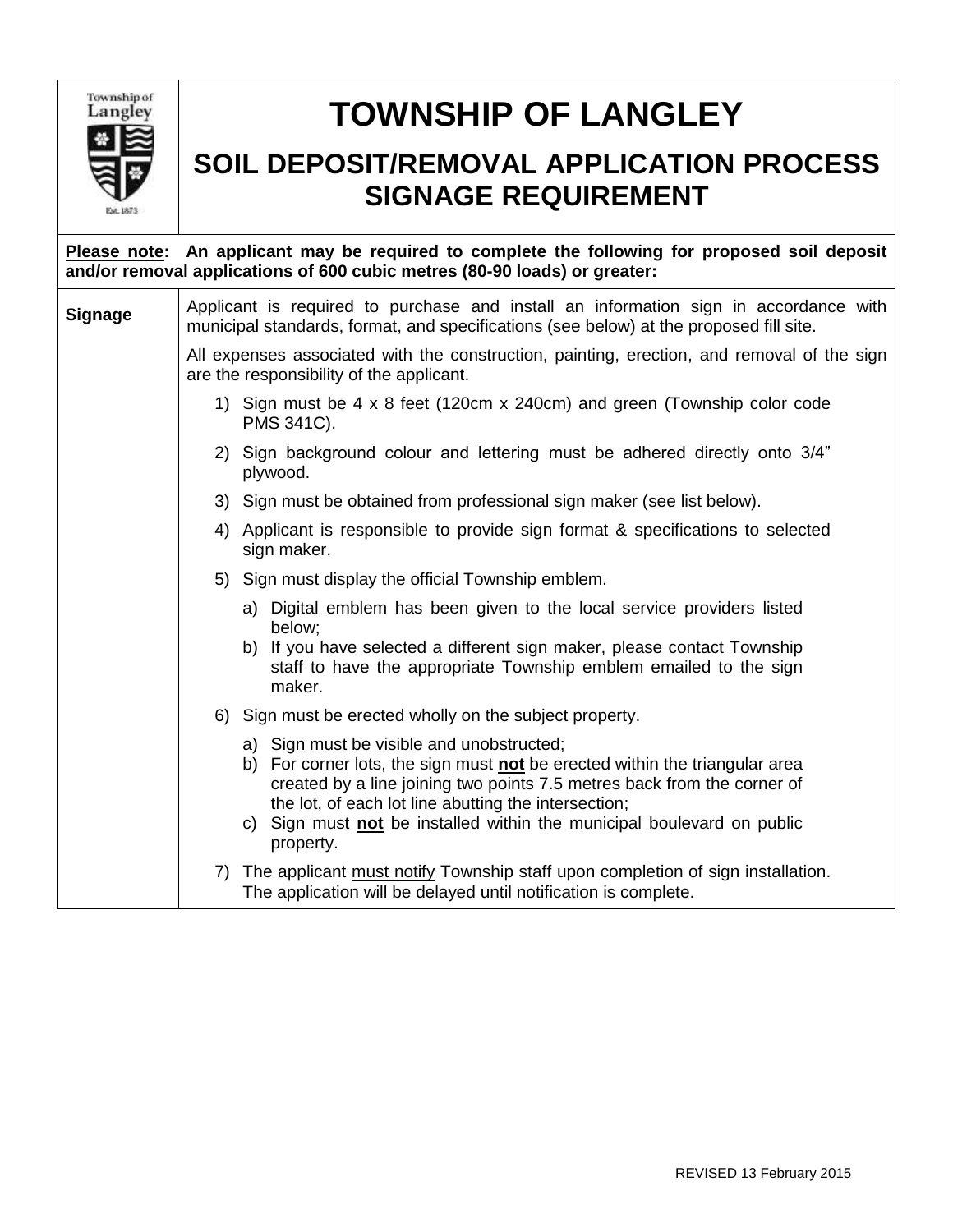

## **TOWNSHIP OF LANGLEY**

## **SOIL DEPOSIT/REMOVAL APPLICATION PROCESS SIGNAGE REQUIREMENT**

| Please note: An applicant may be required to complete the following for proposed soil deposit<br>and/or removal applications of 600 cubic metres (80-90 loads) or greater: |                                                                                                                                                                                                                                                                                                                          |                                                                                                                                                                                                                                                                                                                                       |  |  |  |  |  |
|----------------------------------------------------------------------------------------------------------------------------------------------------------------------------|--------------------------------------------------------------------------------------------------------------------------------------------------------------------------------------------------------------------------------------------------------------------------------------------------------------------------|---------------------------------------------------------------------------------------------------------------------------------------------------------------------------------------------------------------------------------------------------------------------------------------------------------------------------------------|--|--|--|--|--|
| <b>Signage</b>                                                                                                                                                             | Applicant is required to purchase and install an information sign in accordance with<br>municipal standards, format, and specifications (see below) at the proposed fill site.<br>All expenses associated with the construction, painting, erection, and removal of the sign<br>are the responsibility of the applicant. |                                                                                                                                                                                                                                                                                                                                       |  |  |  |  |  |
|                                                                                                                                                                            |                                                                                                                                                                                                                                                                                                                          |                                                                                                                                                                                                                                                                                                                                       |  |  |  |  |  |
|                                                                                                                                                                            |                                                                                                                                                                                                                                                                                                                          | 1) Sign must be 4 x 8 feet (120cm x 240cm) and green (Township color code<br>PMS 341C).                                                                                                                                                                                                                                               |  |  |  |  |  |
|                                                                                                                                                                            |                                                                                                                                                                                                                                                                                                                          | 2) Sign background colour and lettering must be adhered directly onto 3/4"<br>plywood.                                                                                                                                                                                                                                                |  |  |  |  |  |
|                                                                                                                                                                            |                                                                                                                                                                                                                                                                                                                          | 3) Sign must be obtained from professional sign maker (see list below).                                                                                                                                                                                                                                                               |  |  |  |  |  |
|                                                                                                                                                                            |                                                                                                                                                                                                                                                                                                                          | 4) Applicant is responsible to provide sign format & specifications to selected<br>sign maker.                                                                                                                                                                                                                                        |  |  |  |  |  |
|                                                                                                                                                                            |                                                                                                                                                                                                                                                                                                                          | 5) Sign must display the official Township emblem.                                                                                                                                                                                                                                                                                    |  |  |  |  |  |
|                                                                                                                                                                            |                                                                                                                                                                                                                                                                                                                          | a) Digital emblem has been given to the local service providers listed<br>below;                                                                                                                                                                                                                                                      |  |  |  |  |  |
|                                                                                                                                                                            |                                                                                                                                                                                                                                                                                                                          | b) If you have selected a different sign maker, please contact Township<br>staff to have the appropriate Township emblem emailed to the sign<br>maker.                                                                                                                                                                                |  |  |  |  |  |
|                                                                                                                                                                            |                                                                                                                                                                                                                                                                                                                          | 6) Sign must be erected wholly on the subject property.                                                                                                                                                                                                                                                                               |  |  |  |  |  |
|                                                                                                                                                                            |                                                                                                                                                                                                                                                                                                                          | a) Sign must be visible and unobstructed;<br>b) For corner lots, the sign must not be erected within the triangular area<br>created by a line joining two points 7.5 metres back from the corner of<br>the lot, of each lot line abutting the intersection;<br>c) Sign must not be installed within the municipal boulevard on public |  |  |  |  |  |
|                                                                                                                                                                            |                                                                                                                                                                                                                                                                                                                          | property.                                                                                                                                                                                                                                                                                                                             |  |  |  |  |  |
|                                                                                                                                                                            | 7)                                                                                                                                                                                                                                                                                                                       | The applicant must notify Township staff upon completion of sign installation.<br>The application will be delayed until notification is complete.                                                                                                                                                                                     |  |  |  |  |  |